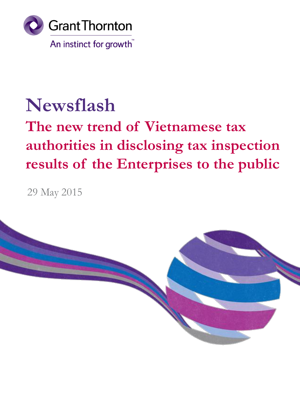

# **Newsflash**

# **The new trend of Vietnamese tax authorities in disclosing tax inspection results of the Enterprises to the public**

29 May 2015

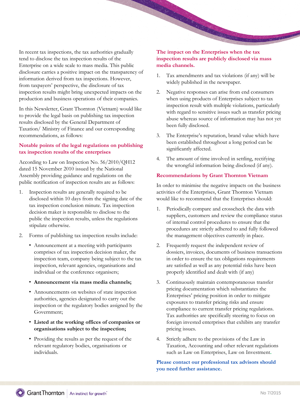In recent tax inspections, the tax authorities gradually tend to disclose the tax inspection results of the Enterprise on a wide scale to mass media. This public disclosure carries a positive impact on the transparency of information derived from tax inspections. However, from taxpayers' perspective, the disclosure of tax inspection results might bring unexpected impacts on the production and business operations of their companies.

In this Newsletter, Grant Thornton (Vietnam) would like to provide the legal basis on publishing tax inspection results disclosed by the General Department of Taxation/ Ministry of Finance and our corresponding recommendations, as follows:

# **Notable points of the legal regulations on publishing tax inspection results of the enterprises**

According to Law on Inspection No. 56/2010/QH12 dated 15 November 2010 issued by the National Assembly providing guidance and regulations on the public notification of inspection results are as follows:

- 1. Inspection results are generally required to be disclosed within 10 days from the signing date of the tax inspection conclusion minute. Tax inspection decision maker is responsible to disclose to the public the inspection results, unless the regulations stipulate otherwise.
- 2. Forms of publishing tax inspection results include:
	- Announcement at a meeting with participants comprises of tax inspection decision maker, the inspection team, company being subject to the tax inspection, relevant agencies, organisations and individual or the conference organisers;
	- **Announcement via mass media channels;**
	- Announcements on websites of state inspection authorities, agencies designated to carry out the inspection or the regulatory bodies assigned by the Government;
	- **Listed at the working offices of companies or organisations subject to the inspection;**
	- Providing the results as per the request of the relevant regulatory bodies, organisations or individuals.

# **The impact on the Enterprises when the tax inspection results are publicly disclosed via mass media channels.**

**CONSTRACTOR** 

- 1. Tax amendments and tax violations (if any) will be widely published in the newspaper.
- 2. Negative responses can arise from end consumers when using products of Enterprises subject to tax inspection result with multiple violations, particularly with regard to sensitive issues such as transfer pricing abuse whereas source of information may has not yet been fully disclosed.
- 3. The Enterprise's reputation, brand value which have been established throughout a long period can be significantly affected.
- 4. The amount of time involved in settling, rectifying the wrongful information being disclosed (if any).

### **Recommendations by Grant Thornton Vietnam**

In order to minimise the negative impacts on the business activities of the Enterprises, Grant Thornton Vietnam would like to recommend that the Enterprises should:

- 1. Periodically compare and crosscheck the data with suppliers, customers and review the compliance status of internal control procedures to ensure that the procedures are strictly adhered to and fully followed the management objectives currently in place.
- 2. Frequently request the independent review of dossiers, invoices, documents of business transactions in order to ensure the tax obligations requirements are satisfied as well as any potential risks have been properly identified and dealt with (if any)
- 3. Continuously maintain contemporaneous transfer pricing documentation which substantiates the Enterprises' pricing position in order to mitigate exposures to transfer pricing risks and ensure compliance to current transfer pricing regulations. Tax authorities are specifically steering to focus on foreign invested enterprises that exhibits any transfer pricing issues.
- 4. Strictly adhere to the provisions of the Law in Taxation, Accounting and other relevant regulations such as Law on Enterprises, Law on Investment**.**

**Please contact our professional tax advisors should you need further assistance.**